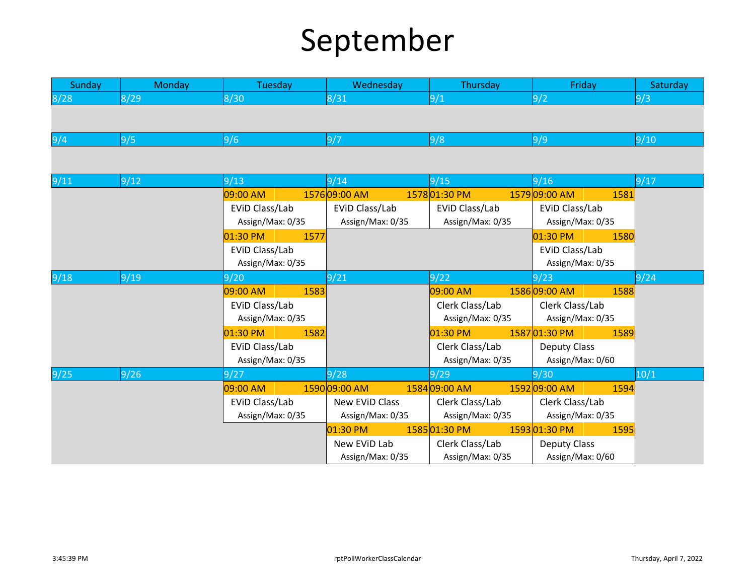## September

| Sunday | Monday | Tuesday          | Wednesday        | Thursday         | Friday                | Saturday |
|--------|--------|------------------|------------------|------------------|-----------------------|----------|
| 8/28   | 8/29   | 8/30             | 8/31             | 9/1              | 9/2                   | 9/3      |
|        |        |                  |                  |                  |                       |          |
|        |        |                  |                  |                  |                       |          |
| 9/4    | 9/5    | 9/6              | 9/7              | 9/8              | 9/9                   | 9/10     |
|        |        |                  |                  |                  |                       |          |
| 9/11   | 9/12   | 9/13             | 9/14             | 9/15             | 9/16                  | 9/17     |
|        |        | 09:00 AM         | 157609:00 AM     | 157801:30 PM     | 157909:00 AM<br>1581  |          |
|        |        | EVID Class/Lab   | EVID Class/Lab   | EVID Class/Lab   | EVID Class/Lab        |          |
|        |        | Assign/Max: 0/35 | Assign/Max: 0/35 | Assign/Max: 0/35 | Assign/Max: 0/35      |          |
|        |        | 01:30 PM<br>1577 |                  |                  | 01:30 PM<br>1580      |          |
|        |        | EVID Class/Lab   |                  |                  | EVID Class/Lab        |          |
|        |        | Assign/Max: 0/35 |                  |                  | Assign/Max: 0/35      |          |
| 9/18   | 9/19   | 9/20             | 9/21             | 9/22             | 9/23                  | 9/24     |
|        |        | 09:00 AM<br>1583 |                  | 09:00 AM         | 158609:00 AM<br>1588  |          |
|        |        | EVID Class/Lab   |                  | Clerk Class/Lab  | Clerk Class/Lab       |          |
|        |        | Assign/Max: 0/35 |                  | Assign/Max: 0/35 | Assign/Max: 0/35      |          |
|        |        | 01:30 PM<br>1582 |                  | 01:30 PM         | 158701:30 PM<br>1589  |          |
|        |        | EVID Class/Lab   |                  | Clerk Class/Lab  | <b>Deputy Class</b>   |          |
|        |        | Assign/Max: 0/35 |                  | Assign/Max: 0/35 | Assign/Max: 0/60      |          |
| 9/25   | 9/26   | 9/27             | 9/28             | 9/29             | 9/30                  | 10/1     |
|        |        | 09:00 AM         | 1590 09:00 AM    | 1584 09:00 AM    | 1592 09:00 AM<br>1594 |          |
|        |        | EVID Class/Lab   | New EVID Class   | Clerk Class/Lab  | Clerk Class/Lab       |          |
|        |        | Assign/Max: 0/35 | Assign/Max: 0/35 | Assign/Max: 0/35 | Assign/Max: 0/35      |          |
|        |        |                  | $01:30$ PM       | 1585 01:30 PM    | 159301:30 PM<br>1595  |          |
|        |        |                  | New EVID Lab     | Clerk Class/Lab  | <b>Deputy Class</b>   |          |
|        |        |                  | Assign/Max: 0/35 | Assign/Max: 0/35 | Assign/Max: 0/60      |          |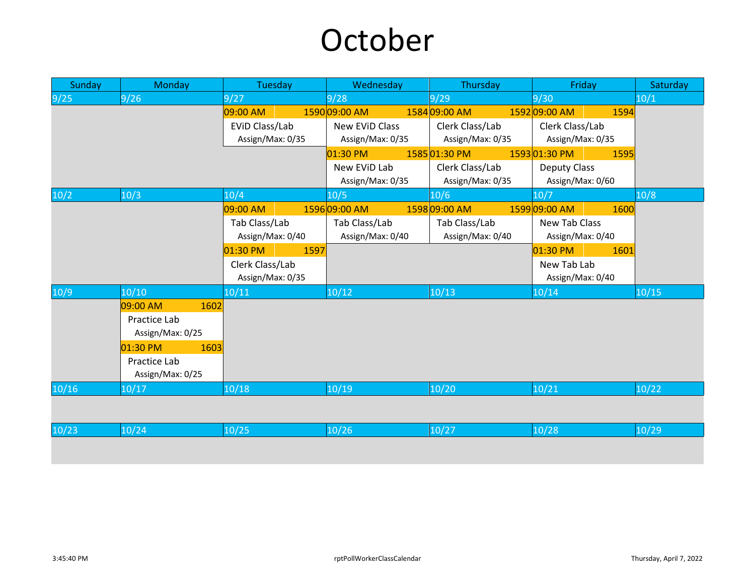## October

| Sunday | Monday           | Tuesday          | Wednesday        | Thursday         | Friday                | Saturday |
|--------|------------------|------------------|------------------|------------------|-----------------------|----------|
| 9/25   | 9/26             | 9/27             | 9/28             | 9/29             | 9/30                  | 10/1     |
|        |                  | 09:00 AM         | 1590 09:00 AM    | 1584 09:00 AM    | 1592 09:00 AM<br>1594 |          |
|        |                  | EVID Class/Lab   | New EVID Class   | Clerk Class/Lab  | Clerk Class/Lab       |          |
|        |                  | Assign/Max: 0/35 | Assign/Max: 0/35 | Assign/Max: 0/35 | Assign/Max: 0/35      |          |
|        |                  |                  | 01:30 PM         | 158501:30 PM     | 159301:30 PM<br>1595  |          |
|        |                  |                  | New EVID Lab     | Clerk Class/Lab  | <b>Deputy Class</b>   |          |
|        |                  |                  | Assign/Max: 0/35 | Assign/Max: 0/35 | Assign/Max: 0/60      |          |
| 10/2   | 10/3             | 10/4             | 10/5             | 10/6             | 10/7                  | 10/8     |
|        |                  | 09:00 AM         | 159609:00 AM     | 1598 09:00 AM    | 159909:00 AM<br>1600  |          |
|        |                  | Tab Class/Lab    | Tab Class/Lab    | Tab Class/Lab    | New Tab Class         |          |
|        |                  | Assign/Max: 0/40 | Assign/Max: 0/40 | Assign/Max: 0/40 | Assign/Max: 0/40      |          |
|        |                  | 01:30 PM<br>1597 |                  |                  | 01:30 PM<br>1601      |          |
|        |                  | Clerk Class/Lab  |                  |                  | New Tab Lab           |          |
|        |                  | Assign/Max: 0/35 |                  |                  | Assign/Max: 0/40      |          |
| 10/9   | 10/10            | 10/11            | 10/12            | 10/13            | 10/14                 | 10/15    |
|        | 09:00 AM<br>1602 |                  |                  |                  |                       |          |
|        | Practice Lab     |                  |                  |                  |                       |          |
|        | Assign/Max: 0/25 |                  |                  |                  |                       |          |
|        | 01:30 PM<br>1603 |                  |                  |                  |                       |          |
|        | Practice Lab     |                  |                  |                  |                       |          |
|        | Assign/Max: 0/25 |                  |                  |                  |                       |          |
| 10/16  | 10/17            | 10/18            | 10/19            | 10/20            | 10/21                 | 10/22    |
|        |                  |                  |                  |                  |                       |          |
|        |                  |                  |                  |                  |                       |          |
| 10/23  | 10/24            | 10/25            | 10/26            | 10/27            | 10/28                 | 10/29    |
|        |                  |                  |                  |                  |                       |          |
|        |                  |                  |                  |                  |                       |          |